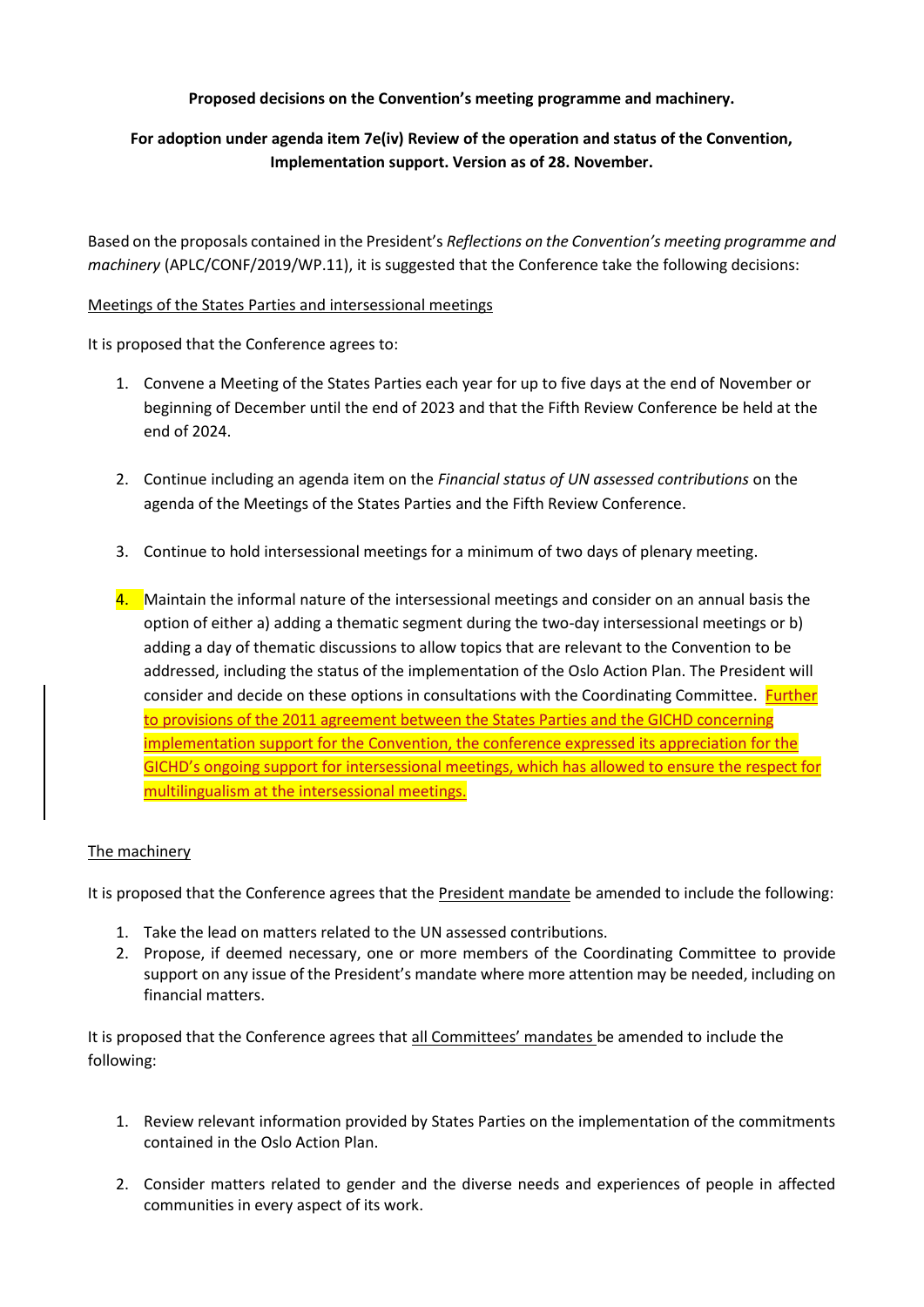## **Proposed decisions on the Convention's meeting programme and machinery.**

## **For adoption under agenda item 7e(iv) Review of the operation and status of the Convention, Implementation support. Version as of 28. November.**

Based on the proposals contained in the President's *Reflections on the Convention's meeting programme and machinery* (APLC/CONF/2019/WP.11), it is suggested that the Conference take the following decisions:

## Meetings of the States Parties and intersessional meetings

It is proposed that the Conference agrees to:

- 1. Convene a Meeting of the States Parties each year for up to five days at the end of November or beginning of December until the end of 2023 and that the Fifth Review Conference be held at the end of 2024.
- 2. Continue including an agenda item on the *Financial status of UN assessed contributions* on the agenda of the Meetings of the States Parties and the Fifth Review Conference.
- 3. Continue to hold intersessional meetings for a minimum of two days of plenary meeting.
- 4. Maintain the informal nature of the intersessional meetings and consider on an annual basis the option of either a) adding a thematic segment during the two-day intersessional meetings or b) adding a day of thematic discussions to allow topics that are relevant to the Convention to be addressed, including the status of the implementation of the Oslo Action Plan. The President will consider and decide on these options in consultations with the Coordinating Committee. Further to provisions of the 2011 agreement between the States Parties and the GICHD concerning implementation support for the Convention, the conference expressed its appreciation for the GICHD's ongoing support for intersessional meetings, which has allowed to ensure the respect for multilingualism at the intersessional meetings.

## The machinery

It is proposed that the Conference agrees that the President mandate be amended to include the following:

- 1. Take the lead on matters related to the UN assessed contributions.
- 2. Propose, if deemed necessary, one or more members of the Coordinating Committee to provide support on any issue of the President's mandate where more attention may be needed, including on financial matters.

It is proposed that the Conference agrees that all Committees' mandates be amended to include the following:

- 1. Review relevant information provided by States Parties on the implementation of the commitments contained in the Oslo Action Plan.
- 2. Consider matters related to gender and the diverse needs and experiences of people in affected communities in every aspect of its work.